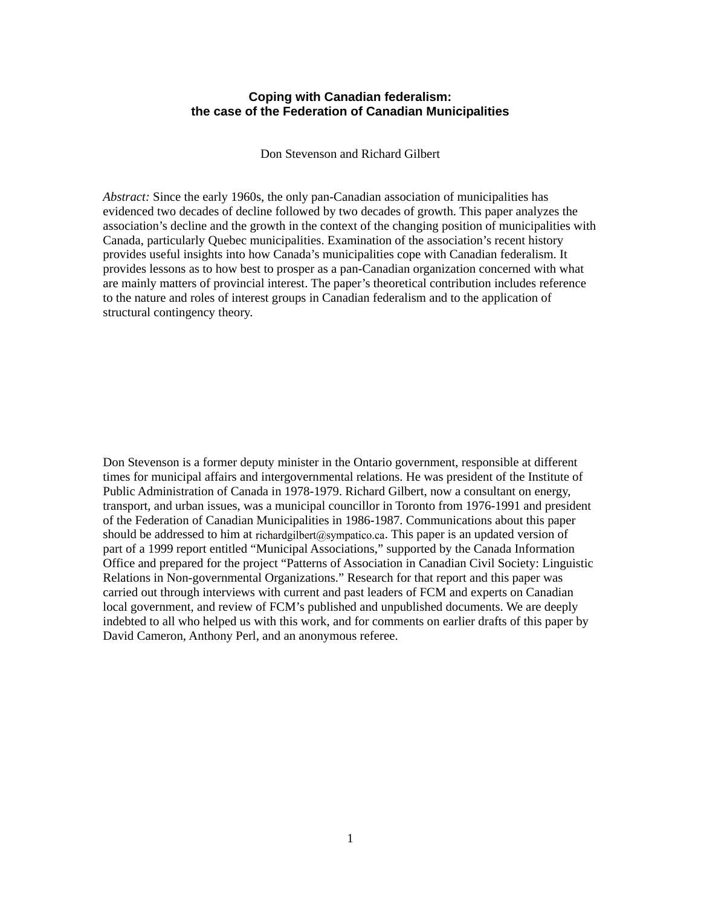# **Coping with Canadian federalism: the case of the Federation of Canadian Municipalities**

Don Stevenson and Richard Gilbert

*Abstract:* Since the early 1960s, the only pan-Canadian association of municipalities has evidenced two decades of decline followed by two decades of growth. This paper analyzes the association's decline and the growth in the context of the changing position of municipalities with Canada, particularly Quebec municipalities. Examination of the association's recent history provides useful insights into how Canada's municipalities cope with Canadian federalism. It provides lessons as to how best to prosper as a pan-Canadian organization concerned with what are mainly matters of provincial interest. The paper's theoretical contribution includes reference to the nature and roles of interest groups in Canadian federalism and to the application of structural contingency theory.

Don Stevenson is a former deputy minister in the Ontario government, responsible at different times for municipal affairs and intergovernmental relations. He was president of the Institute of Public Administration of Canada in 1978-1979. Richard Gilbert, now a consultant on energy, transport, and urban issues, was a municipal councillor in Toronto from 1976-1991 and president of the Federation of Canadian Municipalities in 1986-1987. Communications about this paper should be addressed to him at richardgilbert@sympatico.ca. This paper is an updated version of part of a 1999 report entitled "Municipal Associations," supported by the Canada Information Office and prepared for the project "Patterns of Association in Canadian Civil Society: Linguistic Relations in Non-governmental Organizations." Research for that report and this paper was carried out through interviews with current and past leaders of FCM and experts on Canadian local government, and review of FCM's published and unpublished documents. We are deeply indebted to all who helped us with this work, and for comments on earlier drafts of this paper by David Cameron, Anthony Perl, and an anonymous referee.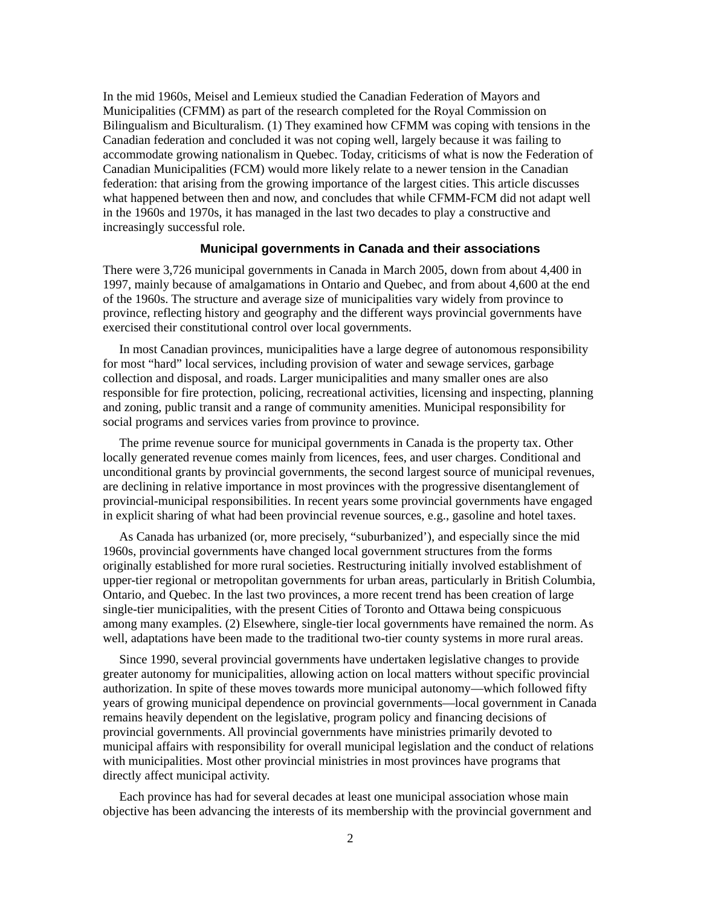In the mid 1960s, Meisel and Lemieux studied the Canadian Federation of Mayors and Municipalities (CFMM) as part of the research completed for the Royal Commission on Bilingualism and Biculturalism. (1) They examined how CFMM was coping with tensions in the Canadian federation and concluded it was not coping well, largely because it was failing to accommodate growing nationalism in Quebec. Today, criticisms of what is now the Federation of Canadian Municipalities (FCM) would more likely relate to a newer tension in the Canadian federation: that arising from the growing importance of the largest cities. This article discusses what happened between then and now, and concludes that while CFMM-FCM did not adapt well in the 1960s and 1970s, it has managed in the last two decades to play a constructive and increasingly successful role.

## **Municipal governments in Canada and their associations**

There were 3,726 municipal governments in Canada in March 2005, down from about 4,400 in 1997, mainly because of amalgamations in Ontario and Quebec, and from about 4,600 at the end of the 1960s. The structure and average size of municipalities vary widely from province to province, reflecting history and geography and the different ways provincial governments have exercised their constitutional control over local governments.

In most Canadian provinces, municipalities have a large degree of autonomous responsibility for most "hard" local services, including provision of water and sewage services, garbage collection and disposal, and roads. Larger municipalities and many smaller ones are also responsible for fire protection, policing, recreational activities, licensing and inspecting, planning and zoning, public transit and a range of community amenities. Municipal responsibility for social programs and services varies from province to province.

The prime revenue source for municipal governments in Canada is the property tax. Other locally generated revenue comes mainly from licences, fees, and user charges. Conditional and unconditional grants by provincial governments, the second largest source of municipal revenues, are declining in relative importance in most provinces with the progressive disentanglement of provincial-municipal responsibilities. In recent years some provincial governments have engaged in explicit sharing of what had been provincial revenue sources, e.g., gasoline and hotel taxes.

As Canada has urbanized (or, more precisely, "suburbanized'), and especially since the mid 1960s, provincial governments have changed local government structures from the forms originally established for more rural societies. Restructuring initially involved establishment of upper-tier regional or metropolitan governments for urban areas, particularly in British Columbia, Ontario, and Quebec. In the last two provinces, a more recent trend has been creation of large single-tier municipalities, with the present Cities of Toronto and Ottawa being conspicuous among many examples. (2) Elsewhere, single-tier local governments have remained the norm. As well, adaptations have been made to the traditional two-tier county systems in more rural areas.

Since 1990, several provincial governments have undertaken legislative changes to provide greater autonomy for municipalities, allowing action on local matters without specific provincial authorization. In spite of these moves towards more municipal autonomy—which followed fifty years of growing municipal dependence on provincial governments—local government in Canada remains heavily dependent on the legislative, program policy and financing decisions of provincial governments. All provincial governments have ministries primarily devoted to municipal affairs with responsibility for overall municipal legislation and the conduct of relations with municipalities. Most other provincial ministries in most provinces have programs that directly affect municipal activity.

Each province has had for several decades at least one municipal association whose main objective has been advancing the interests of its membership with the provincial government and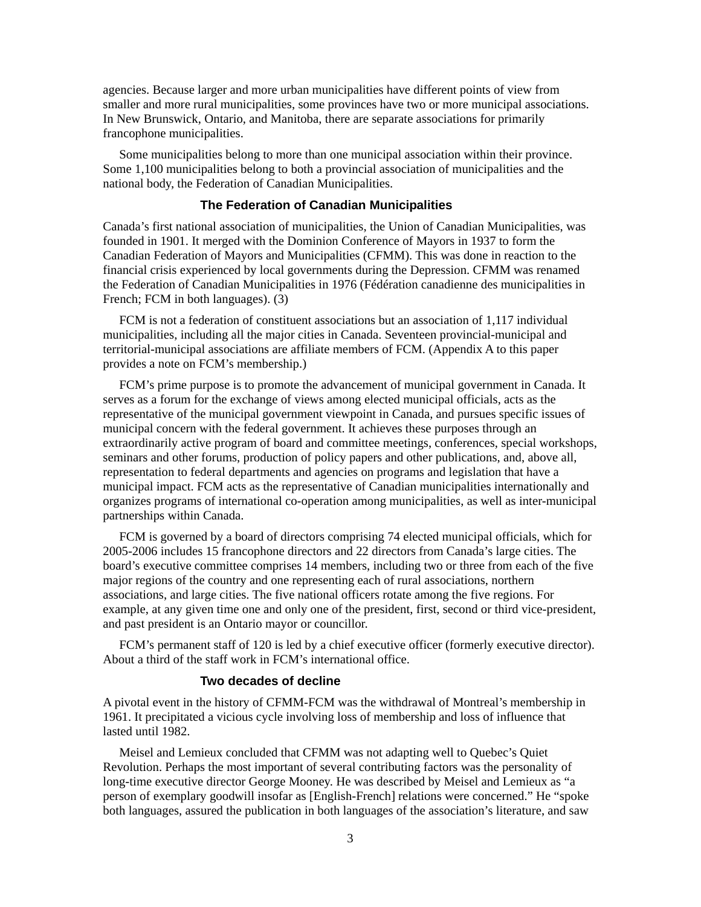agencies. Because larger and more urban municipalities have different points of view from smaller and more rural municipalities, some provinces have two or more municipal associations. In New Brunswick, Ontario, and Manitoba, there are separate associations for primarily francophone municipalities.

Some municipalities belong to more than one municipal association within their province. Some 1,100 municipalities belong to both a provincial association of municipalities and the national body, the Federation of Canadian Municipalities.

## **The Federation of Canadian Municipalities**

Canada's first national association of municipalities, the Union of Canadian Municipalities, was founded in 1901. It merged with the Dominion Conference of Mayors in 1937 to form the Canadian Federation of Mayors and Municipalities (CFMM). This was done in reaction to the financial crisis experienced by local governments during the Depression. CFMM was renamed the Federation of Canadian Municipalities in 1976 (Fédération canadienne des municipalities in French; FCM in both languages). (3)

FCM is not a federation of constituent associations but an association of 1,117 individual municipalities, including all the major cities in Canada. Seventeen provincial-municipal and territorial-municipal associations are affiliate members of FCM. (Appendix A to this paper provides a note on FCM's membership.)

FCM's prime purpose is to promote the advancement of municipal government in Canada. It serves as a forum for the exchange of views among elected municipal officials, acts as the representative of the municipal government viewpoint in Canada, and pursues specific issues of municipal concern with the federal government. It achieves these purposes through an extraordinarily active program of board and committee meetings, conferences, special workshops, seminars and other forums, production of policy papers and other publications, and, above all, representation to federal departments and agencies on programs and legislation that have a municipal impact. FCM acts as the representative of Canadian municipalities internationally and organizes programs of international co-operation among municipalities, as well as inter-municipal partnerships within Canada.

FCM is governed by a board of directors comprising 74 elected municipal officials, which for 2005-2006 includes 15 francophone directors and 22 directors from Canada's large cities. The board's executive committee comprises 14 members, including two or three from each of the five major regions of the country and one representing each of rural associations, northern associations, and large cities. The five national officers rotate among the five regions. For example, at any given time one and only one of the president, first, second or third vice-president, and past president is an Ontario mayor or councillor.

FCM's permanent staff of 120 is led by a chief executive officer (formerly executive director). About a third of the staff work in FCM's international office.

### **Two decades of decline**

A pivotal event in the history of CFMM-FCM was the withdrawal of Montreal's membership in 1961. It precipitated a vicious cycle involving loss of membership and loss of influence that lasted until 1982.

Meisel and Lemieux concluded that CFMM was not adapting well to Quebec's Quiet Revolution. Perhaps the most important of several contributing factors was the personality of long-time executive director George Mooney. He was described by Meisel and Lemieux as "a person of exemplary goodwill insofar as [English-French] relations were concerned." He "spoke both languages, assured the publication in both languages of the association's literature, and saw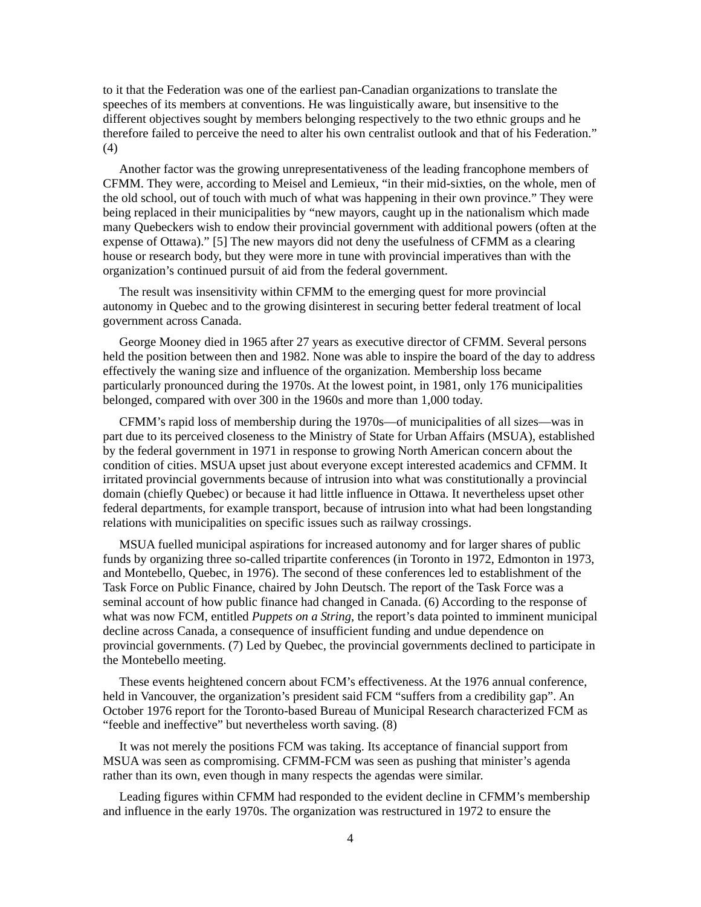to it that the Federation was one of the earliest pan-Canadian organizations to translate the speeches of its members at conventions. He was linguistically aware, but insensitive to the different objectives sought by members belonging respectively to the two ethnic groups and he therefore failed to perceive the need to alter his own centralist outlook and that of his Federation." (4)

Another factor was the growing unrepresentativeness of the leading francophone members of CFMM. They were, according to Meisel and Lemieux, "in their mid-sixties, on the whole, men of the old school, out of touch with much of what was happening in their own province." They were being replaced in their municipalities by "new mayors, caught up in the nationalism which made many Quebeckers wish to endow their provincial government with additional powers (often at the expense of Ottawa)." [5] The new mayors did not deny the usefulness of CFMM as a clearing house or research body, but they were more in tune with provincial imperatives than with the organization's continued pursuit of aid from the federal government.

The result was insensitivity within CFMM to the emerging quest for more provincial autonomy in Quebec and to the growing disinterest in securing better federal treatment of local government across Canada.

George Mooney died in 1965 after 27 years as executive director of CFMM. Several persons held the position between then and 1982. None was able to inspire the board of the day to address effectively the waning size and influence of the organization. Membership loss became particularly pronounced during the 1970s. At the lowest point, in 1981, only 176 municipalities belonged, compared with over 300 in the 1960s and more than 1,000 today.

CFMM's rapid loss of membership during the 1970s—of municipalities of all sizes—was in part due to its perceived closeness to the Ministry of State for Urban Affairs (MSUA), established by the federal government in 1971 in response to growing North American concern about the condition of cities. MSUA upset just about everyone except interested academics and CFMM. It irritated provincial governments because of intrusion into what was constitutionally a provincial domain (chiefly Quebec) or because it had little influence in Ottawa. It nevertheless upset other federal departments, for example transport, because of intrusion into what had been longstanding relations with municipalities on specific issues such as railway crossings.

MSUA fuelled municipal aspirations for increased autonomy and for larger shares of public funds by organizing three so-called tripartite conferences (in Toronto in 1972, Edmonton in 1973, and Montebello, Quebec, in 1976). The second of these conferences led to establishment of the Task Force on Public Finance, chaired by John Deutsch. The report of the Task Force was a seminal account of how public finance had changed in Canada. (6) According to the response of what was now FCM, entitled *Puppets on a String*, the report's data pointed to imminent municipal decline across Canada, a consequence of insufficient funding and undue dependence on provincial governments. (7) Led by Quebec, the provincial governments declined to participate in the Montebello meeting.

These events heightened concern about FCM's effectiveness. At the 1976 annual conference, held in Vancouver, the organization's president said FCM "suffers from a credibility gap". An October 1976 report for the Toronto-based Bureau of Municipal Research characterized FCM as "feeble and ineffective" but nevertheless worth saving. (8)

It was not merely the positions FCM was taking. Its acceptance of financial support from MSUA was seen as compromising. CFMM-FCM was seen as pushing that minister's agenda rather than its own, even though in many respects the agendas were similar.

Leading figures within CFMM had responded to the evident decline in CFMM's membership and influence in the early 1970s. The organization was restructured in 1972 to ensure the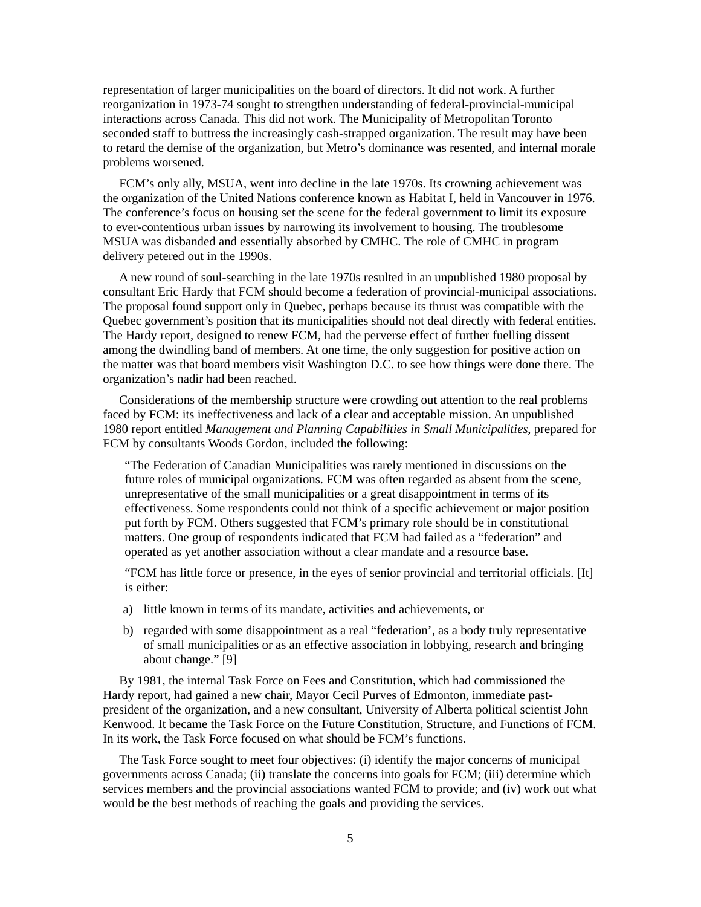representation of larger municipalities on the board of directors. It did not work. A further reorganization in 1973-74 sought to strengthen understanding of federal-provincial-municipal interactions across Canada. This did not work. The Municipality of Metropolitan Toronto seconded staff to buttress the increasingly cash-strapped organization. The result may have been to retard the demise of the organization, but Metro's dominance was resented, and internal morale problems worsened.

FCM's only ally, MSUA, went into decline in the late 1970s. Its crowning achievement was the organization of the United Nations conference known as Habitat I, held in Vancouver in 1976. The conference's focus on housing set the scene for the federal government to limit its exposure to ever-contentious urban issues by narrowing its involvement to housing. The troublesome MSUA was disbanded and essentially absorbed by CMHC. The role of CMHC in program delivery petered out in the 1990s.

A new round of soul-searching in the late 1970s resulted in an unpublished 1980 proposal by consultant Eric Hardy that FCM should become a federation of provincial-municipal associations. The proposal found support only in Quebec, perhaps because its thrust was compatible with the Quebec government's position that its municipalities should not deal directly with federal entities. The Hardy report, designed to renew FCM, had the perverse effect of further fuelling dissent among the dwindling band of members. At one time, the only suggestion for positive action on the matter was that board members visit Washington D.C. to see how things were done there. The organization's nadir had been reached.

Considerations of the membership structure were crowding out attention to the real problems faced by FCM: its ineffectiveness and lack of a clear and acceptable mission. An unpublished 1980 report entitled *Management and Planning Capabilities in Small Municipalities*, prepared for FCM by consultants Woods Gordon, included the following:

"The Federation of Canadian Municipalities was rarely mentioned in discussions on the future roles of municipal organizations. FCM was often regarded as absent from the scene, unrepresentative of the small municipalities or a great disappointment in terms of its effectiveness. Some respondents could not think of a specific achievement or major position put forth by FCM. Others suggested that FCM's primary role should be in constitutional matters. One group of respondents indicated that FCM had failed as a "federation" and operated as yet another association without a clear mandate and a resource base.

"FCM has little force or presence, in the eyes of senior provincial and territorial officials. [It] is either:

- a) little known in terms of its mandate, activities and achievements, or
- b) regarded with some disappointment as a real "federation', as a body truly representative of small municipalities or as an effective association in lobbying, research and bringing about change." [9]

By 1981, the internal Task Force on Fees and Constitution, which had commissioned the Hardy report, had gained a new chair, Mayor Cecil Purves of Edmonton, immediate pastpresident of the organization, and a new consultant, University of Alberta political scientist John Kenwood. It became the Task Force on the Future Constitution, Structure, and Functions of FCM. In its work, the Task Force focused on what should be FCM's functions.

The Task Force sought to meet four objectives: (i) identify the major concerns of municipal governments across Canada; (ii) translate the concerns into goals for FCM; (iii) determine which services members and the provincial associations wanted FCM to provide; and (iv) work out what would be the best methods of reaching the goals and providing the services.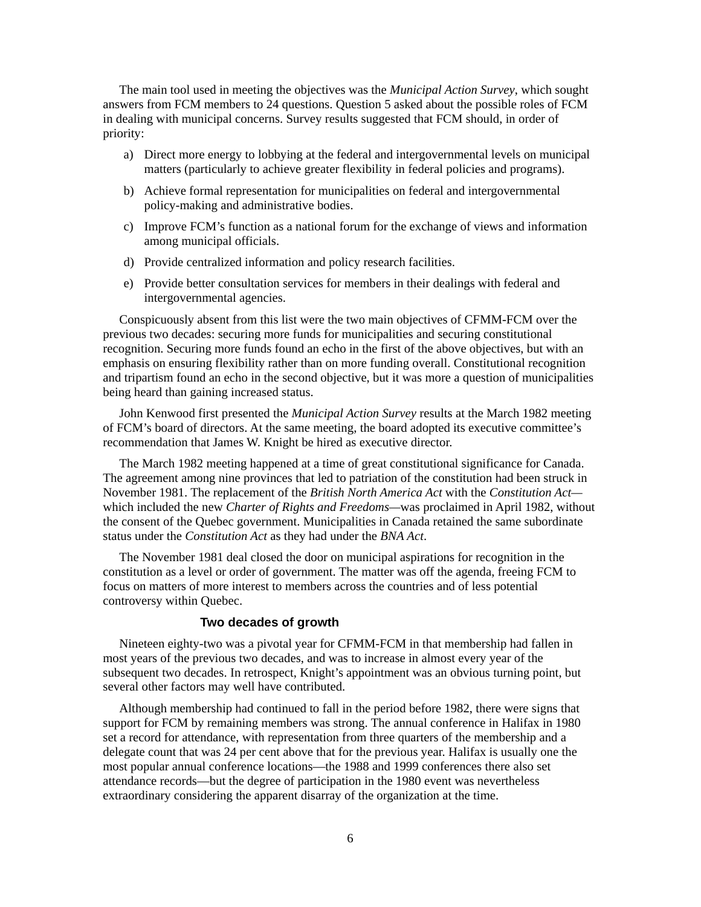The main tool used in meeting the objectives was the *Municipal Action Survey*, which sought answers from FCM members to 24 questions. Question 5 asked about the possible roles of FCM in dealing with municipal concerns. Survey results suggested that FCM should, in order of priority:

- a) Direct more energy to lobbying at the federal and intergovernmental levels on municipal matters (particularly to achieve greater flexibility in federal policies and programs).
- b) Achieve formal representation for municipalities on federal and intergovernmental policy-making and administrative bodies.
- c) Improve FCM's function as a national forum for the exchange of views and information among municipal officials.
- d) Provide centralized information and policy research facilities.
- e) Provide better consultation services for members in their dealings with federal and intergovernmental agencies.

Conspicuously absent from this list were the two main objectives of CFMM-FCM over the previous two decades: securing more funds for municipalities and securing constitutional recognition. Securing more funds found an echo in the first of the above objectives, but with an emphasis on ensuring flexibility rather than on more funding overall. Constitutional recognition and tripartism found an echo in the second objective, but it was more a question of municipalities being heard than gaining increased status.

John Kenwood first presented the *Municipal Action Survey* results at the March 1982 meeting of FCM's board of directors. At the same meeting, the board adopted its executive committee's recommendation that James W. Knight be hired as executive director.

The March 1982 meeting happened at a time of great constitutional significance for Canada. The agreement among nine provinces that led to patriation of the constitution had been struck in November 1981. The replacement of the *British North America Act* with the *Constitution Act* which included the new *Charter of Rights and Freedoms—*was proclaimed in April 1982, without the consent of the Quebec government. Municipalities in Canada retained the same subordinate status under the *Constitution Act* as they had under the *BNA Act*.

The November 1981 deal closed the door on municipal aspirations for recognition in the constitution as a level or order of government. The matter was off the agenda, freeing FCM to focus on matters of more interest to members across the countries and of less potential controversy within Quebec.

### **Two decades of growth**

Nineteen eighty-two was a pivotal year for CFMM-FCM in that membership had fallen in most years of the previous two decades, and was to increase in almost every year of the subsequent two decades. In retrospect, Knight's appointment was an obvious turning point, but several other factors may well have contributed.

Although membership had continued to fall in the period before 1982, there were signs that support for FCM by remaining members was strong. The annual conference in Halifax in 1980 set a record for attendance, with representation from three quarters of the membership and a delegate count that was 24 per cent above that for the previous year. Halifax is usually one the most popular annual conference locations—the 1988 and 1999 conferences there also set attendance records—but the degree of participation in the 1980 event was nevertheless extraordinary considering the apparent disarray of the organization at the time.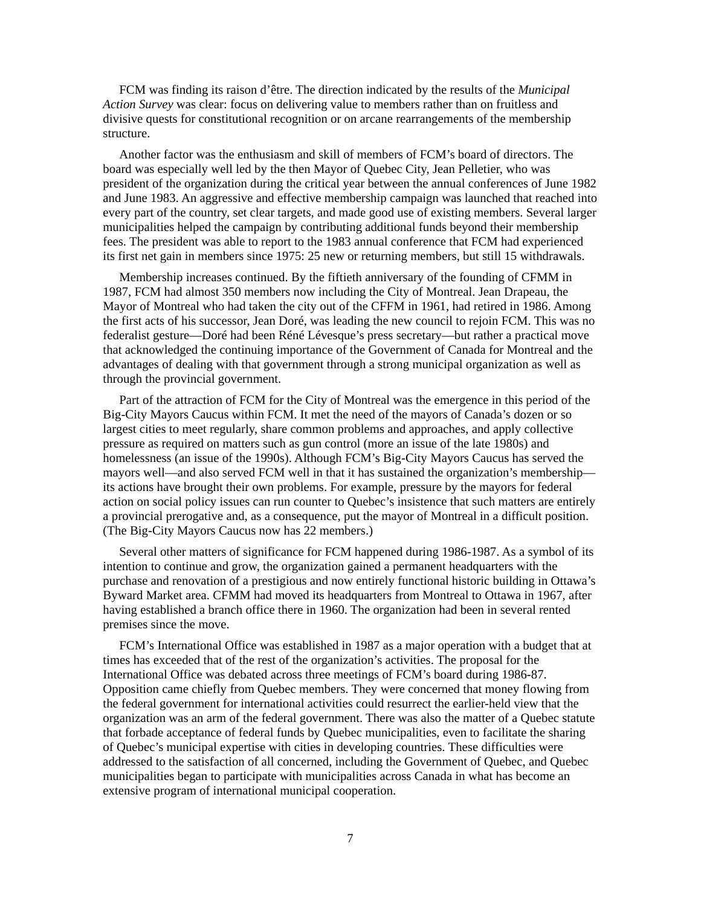FCM was finding its raison d'être. The direction indicated by the results of the *Municipal Action Survey* was clear: focus on delivering value to members rather than on fruitless and divisive quests for constitutional recognition or on arcane rearrangements of the membership structure.

Another factor was the enthusiasm and skill of members of FCM's board of directors. The board was especially well led by the then Mayor of Quebec City, Jean Pelletier, who was president of the organization during the critical year between the annual conferences of June 1982 and June 1983. An aggressive and effective membership campaign was launched that reached into every part of the country, set clear targets, and made good use of existing members. Several larger municipalities helped the campaign by contributing additional funds beyond their membership fees. The president was able to report to the 1983 annual conference that FCM had experienced its first net gain in members since 1975: 25 new or returning members, but still 15 withdrawals.

Membership increases continued. By the fiftieth anniversary of the founding of CFMM in 1987, FCM had almost 350 members now including the City of Montreal. Jean Drapeau, the Mayor of Montreal who had taken the city out of the CFFM in 1961, had retired in 1986. Among the first acts of his successor, Jean Doré, was leading the new council to rejoin FCM. This was no federalist gesture—Doré had been Réné Lévesque's press secretary—but rather a practical move that acknowledged the continuing importance of the Government of Canada for Montreal and the advantages of dealing with that government through a strong municipal organization as well as through the provincial government.

Part of the attraction of FCM for the City of Montreal was the emergence in this period of the Big-City Mayors Caucus within FCM. It met the need of the mayors of Canada's dozen or so largest cities to meet regularly, share common problems and approaches, and apply collective pressure as required on matters such as gun control (more an issue of the late 1980s) and homelessness (an issue of the 1990s). Although FCM's Big-City Mayors Caucus has served the mayors well—and also served FCM well in that it has sustained the organization's membership its actions have brought their own problems. For example, pressure by the mayors for federal action on social policy issues can run counter to Quebec's insistence that such matters are entirely a provincial prerogative and, as a consequence, put the mayor of Montreal in a difficult position. (The Big-City Mayors Caucus now has 22 members.)

Several other matters of significance for FCM happened during 1986-1987. As a symbol of its intention to continue and grow, the organization gained a permanent headquarters with the purchase and renovation of a prestigious and now entirely functional historic building in Ottawa's Byward Market area. CFMM had moved its headquarters from Montreal to Ottawa in 1967, after having established a branch office there in 1960. The organization had been in several rented premises since the move.

FCM's International Office was established in 1987 as a major operation with a budget that at times has exceeded that of the rest of the organization's activities. The proposal for the International Office was debated across three meetings of FCM's board during 1986-87. Opposition came chiefly from Quebec members. They were concerned that money flowing from the federal government for international activities could resurrect the earlier-held view that the organization was an arm of the federal government. There was also the matter of a Quebec statute that forbade acceptance of federal funds by Quebec municipalities, even to facilitate the sharing of Quebec's municipal expertise with cities in developing countries. These difficulties were addressed to the satisfaction of all concerned, including the Government of Quebec, and Quebec municipalities began to participate with municipalities across Canada in what has become an extensive program of international municipal cooperation.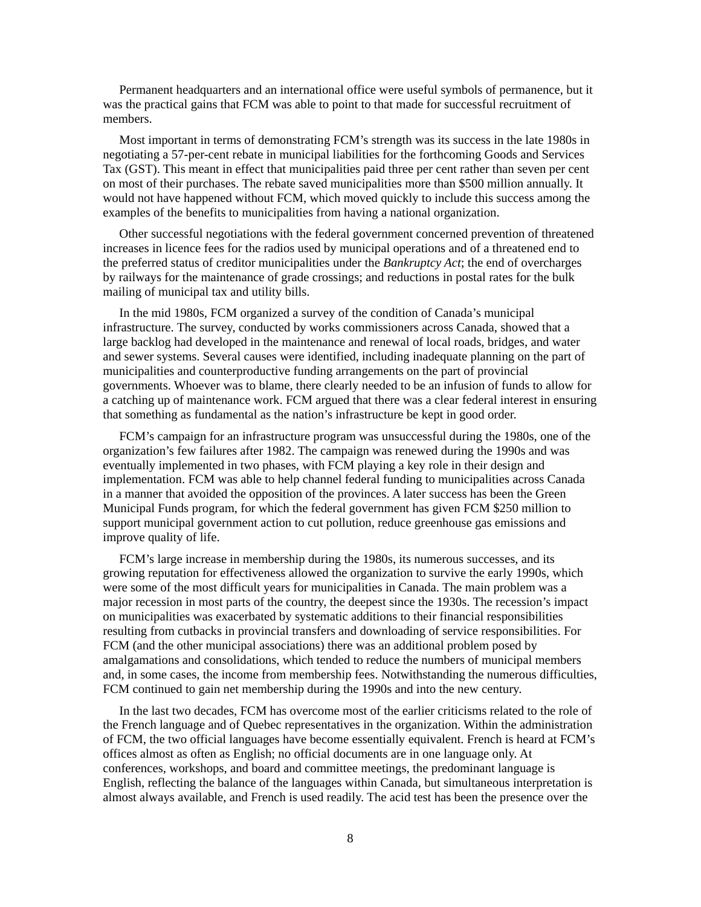Permanent headquarters and an international office were useful symbols of permanence, but it was the practical gains that FCM was able to point to that made for successful recruitment of members.

Most important in terms of demonstrating FCM's strength was its success in the late 1980s in negotiating a 57-per-cent rebate in municipal liabilities for the forthcoming Goods and Services Tax (GST). This meant in effect that municipalities paid three per cent rather than seven per cent on most of their purchases. The rebate saved municipalities more than \$500 million annually. It would not have happened without FCM, which moved quickly to include this success among the examples of the benefits to municipalities from having a national organization.

Other successful negotiations with the federal government concerned prevention of threatened increases in licence fees for the radios used by municipal operations and of a threatened end to the preferred status of creditor municipalities under the *Bankruptcy Act*; the end of overcharges by railways for the maintenance of grade crossings; and reductions in postal rates for the bulk mailing of municipal tax and utility bills.

In the mid 1980s, FCM organized a survey of the condition of Canada's municipal infrastructure. The survey, conducted by works commissioners across Canada, showed that a large backlog had developed in the maintenance and renewal of local roads, bridges, and water and sewer systems. Several causes were identified, including inadequate planning on the part of municipalities and counterproductive funding arrangements on the part of provincial governments. Whoever was to blame, there clearly needed to be an infusion of funds to allow for a catching up of maintenance work. FCM argued that there was a clear federal interest in ensuring that something as fundamental as the nation's infrastructure be kept in good order.

FCM's campaign for an infrastructure program was unsuccessful during the 1980s, one of the organization's few failures after 1982. The campaign was renewed during the 1990s and was eventually implemented in two phases, with FCM playing a key role in their design and implementation. FCM was able to help channel federal funding to municipalities across Canada in a manner that avoided the opposition of the provinces. A later success has been the Green Municipal Funds program, for which the federal government has given FCM \$250 million to support municipal government action to cut pollution, reduce greenhouse gas emissions and improve quality of life.

FCM's large increase in membership during the 1980s, its numerous successes, and its growing reputation for effectiveness allowed the organization to survive the early 1990s, which were some of the most difficult years for municipalities in Canada. The main problem was a major recession in most parts of the country, the deepest since the 1930s. The recession's impact on municipalities was exacerbated by systematic additions to their financial responsibilities resulting from cutbacks in provincial transfers and downloading of service responsibilities. For FCM (and the other municipal associations) there was an additional problem posed by amalgamations and consolidations, which tended to reduce the numbers of municipal members and, in some cases, the income from membership fees. Notwithstanding the numerous difficulties, FCM continued to gain net membership during the 1990s and into the new century.

In the last two decades, FCM has overcome most of the earlier criticisms related to the role of the French language and of Quebec representatives in the organization. Within the administration of FCM, the two official languages have become essentially equivalent. French is heard at FCM's offices almost as often as English; no official documents are in one language only. At conferences, workshops, and board and committee meetings, the predominant language is English, reflecting the balance of the languages within Canada, but simultaneous interpretation is almost always available, and French is used readily. The acid test has been the presence over the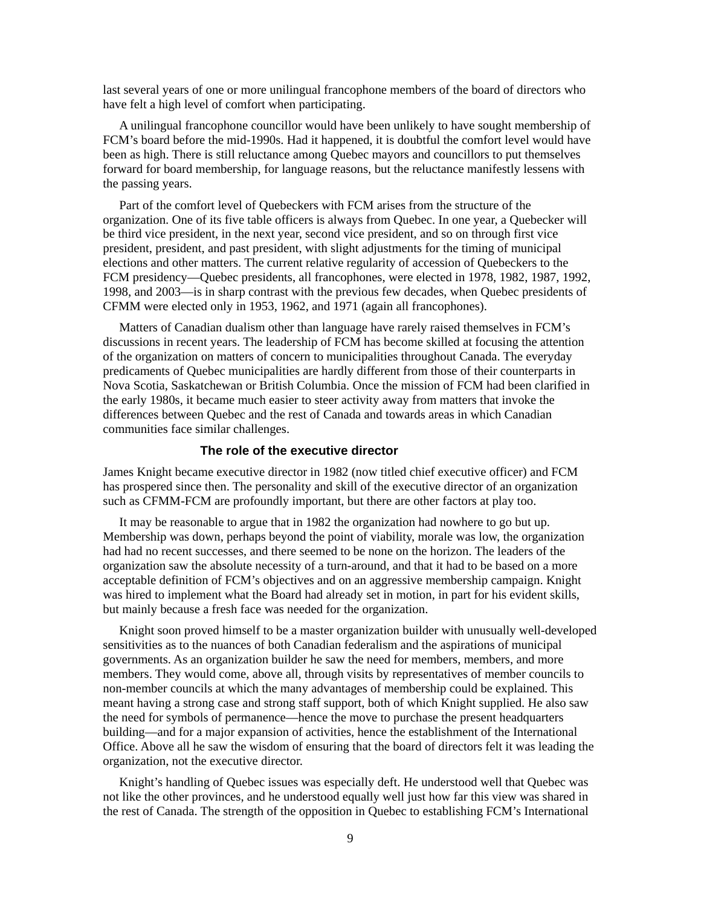last several years of one or more unilingual francophone members of the board of directors who have felt a high level of comfort when participating.

A unilingual francophone councillor would have been unlikely to have sought membership of FCM's board before the mid-1990s. Had it happened, it is doubtful the comfort level would have been as high. There is still reluctance among Quebec mayors and councillors to put themselves forward for board membership, for language reasons, but the reluctance manifestly lessens with the passing years.

Part of the comfort level of Quebeckers with FCM arises from the structure of the organization. One of its five table officers is always from Quebec. In one year, a Quebecker will be third vice president, in the next year, second vice president, and so on through first vice president, president, and past president, with slight adjustments for the timing of municipal elections and other matters. The current relative regularity of accession of Quebeckers to the FCM presidency—Quebec presidents, all francophones, were elected in 1978, 1982, 1987, 1992, 1998, and 2003—is in sharp contrast with the previous few decades, when Quebec presidents of CFMM were elected only in 1953, 1962, and 1971 (again all francophones).

Matters of Canadian dualism other than language have rarely raised themselves in FCM's discussions in recent years. The leadership of FCM has become skilled at focusing the attention of the organization on matters of concern to municipalities throughout Canada. The everyday predicaments of Quebec municipalities are hardly different from those of their counterparts in Nova Scotia, Saskatchewan or British Columbia. Once the mission of FCM had been clarified in the early 1980s, it became much easier to steer activity away from matters that invoke the differences between Quebec and the rest of Canada and towards areas in which Canadian communities face similar challenges.

#### **The role of the executive director**

James Knight became executive director in 1982 (now titled chief executive officer) and FCM has prospered since then. The personality and skill of the executive director of an organization such as CFMM-FCM are profoundly important, but there are other factors at play too.

It may be reasonable to argue that in 1982 the organization had nowhere to go but up. Membership was down, perhaps beyond the point of viability, morale was low, the organization had had no recent successes, and there seemed to be none on the horizon. The leaders of the organization saw the absolute necessity of a turn-around, and that it had to be based on a more acceptable definition of FCM's objectives and on an aggressive membership campaign. Knight was hired to implement what the Board had already set in motion, in part for his evident skills, but mainly because a fresh face was needed for the organization.

Knight soon proved himself to be a master organization builder with unusually well-developed sensitivities as to the nuances of both Canadian federalism and the aspirations of municipal governments. As an organization builder he saw the need for members, members, and more members. They would come, above all, through visits by representatives of member councils to non-member councils at which the many advantages of membership could be explained. This meant having a strong case and strong staff support, both of which Knight supplied. He also saw the need for symbols of permanence—hence the move to purchase the present headquarters building—and for a major expansion of activities, hence the establishment of the International Office. Above all he saw the wisdom of ensuring that the board of directors felt it was leading the organization, not the executive director.

Knight's handling of Quebec issues was especially deft. He understood well that Quebec was not like the other provinces, and he understood equally well just how far this view was shared in the rest of Canada. The strength of the opposition in Quebec to establishing FCM's International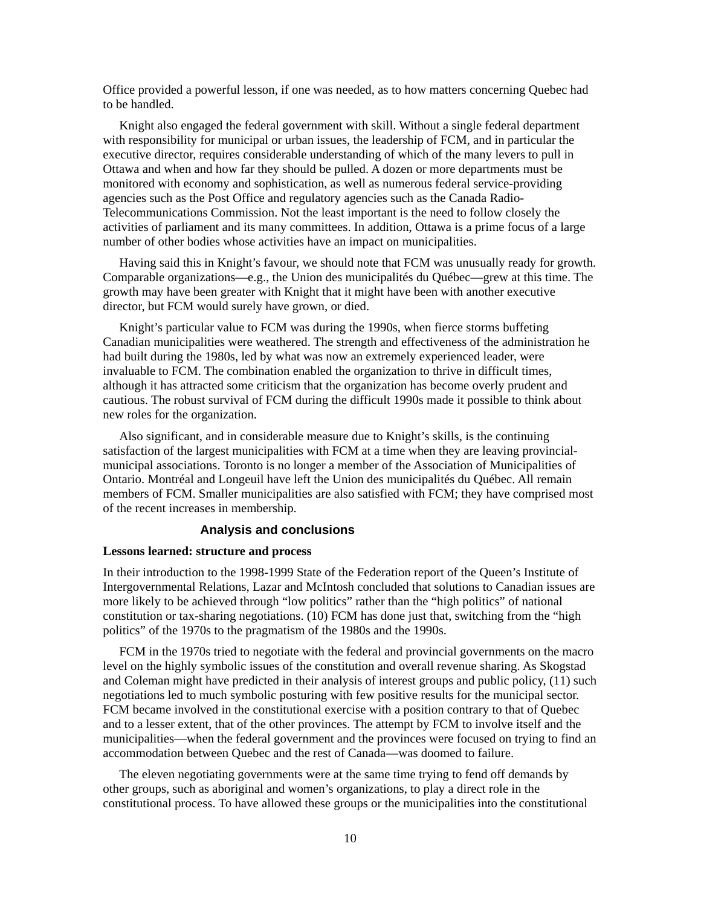Office provided a powerful lesson, if one was needed, as to how matters concerning Quebec had to be handled.

Knight also engaged the federal government with skill. Without a single federal department with responsibility for municipal or urban issues, the leadership of FCM, and in particular the executive director, requires considerable understanding of which of the many levers to pull in Ottawa and when and how far they should be pulled. A dozen or more departments must be monitored with economy and sophistication, as well as numerous federal service-providing agencies such as the Post Office and regulatory agencies such as the Canada Radio-Telecommunications Commission. Not the least important is the need to follow closely the activities of parliament and its many committees. In addition, Ottawa is a prime focus of a large number of other bodies whose activities have an impact on municipalities.

Having said this in Knight's favour, we should note that FCM was unusually ready for growth. Comparable organizations—e.g., the Union des municipalités du Québec—grew at this time. The growth may have been greater with Knight that it might have been with another executive director, but FCM would surely have grown, or died.

Knight's particular value to FCM was during the 1990s, when fierce storms buffeting Canadian municipalities were weathered. The strength and effectiveness of the administration he had built during the 1980s, led by what was now an extremely experienced leader, were invaluable to FCM. The combination enabled the organization to thrive in difficult times, although it has attracted some criticism that the organization has become overly prudent and cautious. The robust survival of FCM during the difficult 1990s made it possible to think about new roles for the organization.

Also significant, and in considerable measure due to Knight's skills, is the continuing satisfaction of the largest municipalities with FCM at a time when they are leaving provincialmunicipal associations. Toronto is no longer a member of the Association of Municipalities of Ontario. Montréal and Longeuil have left the Union des municipalités du Québec. All remain members of FCM. Smaller municipalities are also satisfied with FCM; they have comprised most of the recent increases in membership.

## **Analysis and conclusions**

#### **Lessons learned: structure and process**

In their introduction to the 1998-1999 State of the Federation report of the Queen's Institute of Intergovernmental Relations, Lazar and McIntosh concluded that solutions to Canadian issues are more likely to be achieved through "low politics" rather than the "high politics" of national constitution or tax-sharing negotiations. (10) FCM has done just that, switching from the "high politics" of the 1970s to the pragmatism of the 1980s and the 1990s.

FCM in the 1970s tried to negotiate with the federal and provincial governments on the macro level on the highly symbolic issues of the constitution and overall revenue sharing. As Skogstad and Coleman might have predicted in their analysis of interest groups and public policy, (11) such negotiations led to much symbolic posturing with few positive results for the municipal sector. FCM became involved in the constitutional exercise with a position contrary to that of Quebec and to a lesser extent, that of the other provinces. The attempt by FCM to involve itself and the municipalities—when the federal government and the provinces were focused on trying to find an accommodation between Quebec and the rest of Canada—was doomed to failure.

The eleven negotiating governments were at the same time trying to fend off demands by other groups, such as aboriginal and women's organizations, to play a direct role in the constitutional process. To have allowed these groups or the municipalities into the constitutional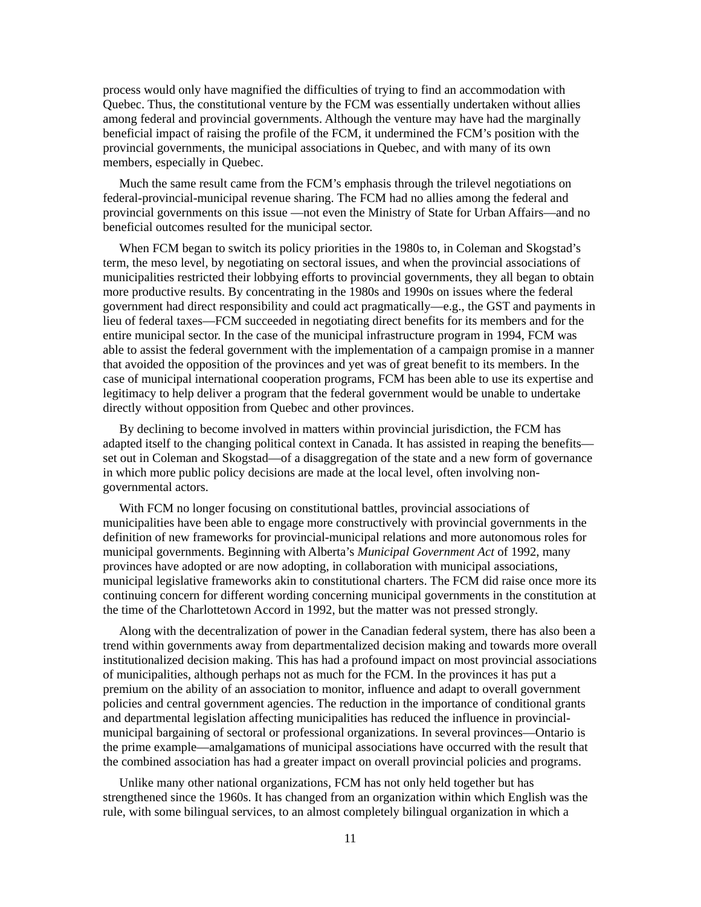process would only have magnified the difficulties of trying to find an accommodation with Quebec. Thus, the constitutional venture by the FCM was essentially undertaken without allies among federal and provincial governments. Although the venture may have had the marginally beneficial impact of raising the profile of the FCM, it undermined the FCM's position with the provincial governments, the municipal associations in Quebec, and with many of its own members, especially in Quebec.

Much the same result came from the FCM's emphasis through the trilevel negotiations on federal-provincial-municipal revenue sharing. The FCM had no allies among the federal and provincial governments on this issue —not even the Ministry of State for Urban Affairs—and no beneficial outcomes resulted for the municipal sector.

When FCM began to switch its policy priorities in the 1980s to, in Coleman and Skogstad's term, the meso level, by negotiating on sectoral issues, and when the provincial associations of municipalities restricted their lobbying efforts to provincial governments, they all began to obtain more productive results. By concentrating in the 1980s and 1990s on issues where the federal government had direct responsibility and could act pragmatically—e.g., the GST and payments in lieu of federal taxes—FCM succeeded in negotiating direct benefits for its members and for the entire municipal sector. In the case of the municipal infrastructure program in 1994, FCM was able to assist the federal government with the implementation of a campaign promise in a manner that avoided the opposition of the provinces and yet was of great benefit to its members. In the case of municipal international cooperation programs, FCM has been able to use its expertise and legitimacy to help deliver a program that the federal government would be unable to undertake directly without opposition from Quebec and other provinces.

By declining to become involved in matters within provincial jurisdiction, the FCM has adapted itself to the changing political context in Canada. It has assisted in reaping the benefits set out in Coleman and Skogstad—of a disaggregation of the state and a new form of governance in which more public policy decisions are made at the local level, often involving nongovernmental actors.

With FCM no longer focusing on constitutional battles, provincial associations of municipalities have been able to engage more constructively with provincial governments in the definition of new frameworks for provincial-municipal relations and more autonomous roles for municipal governments. Beginning with Alberta's *Municipal Government Act* of 1992, many provinces have adopted or are now adopting, in collaboration with municipal associations, municipal legislative frameworks akin to constitutional charters. The FCM did raise once more its continuing concern for different wording concerning municipal governments in the constitution at the time of the Charlottetown Accord in 1992, but the matter was not pressed strongly.

Along with the decentralization of power in the Canadian federal system, there has also been a trend within governments away from departmentalized decision making and towards more overall institutionalized decision making. This has had a profound impact on most provincial associations of municipalities, although perhaps not as much for the FCM. In the provinces it has put a premium on the ability of an association to monitor, influence and adapt to overall government policies and central government agencies. The reduction in the importance of conditional grants and departmental legislation affecting municipalities has reduced the influence in provincialmunicipal bargaining of sectoral or professional organizations. In several provinces—Ontario is the prime example—amalgamations of municipal associations have occurred with the result that the combined association has had a greater impact on overall provincial policies and programs.

Unlike many other national organizations, FCM has not only held together but has strengthened since the 1960s. It has changed from an organization within which English was the rule, with some bilingual services, to an almost completely bilingual organization in which a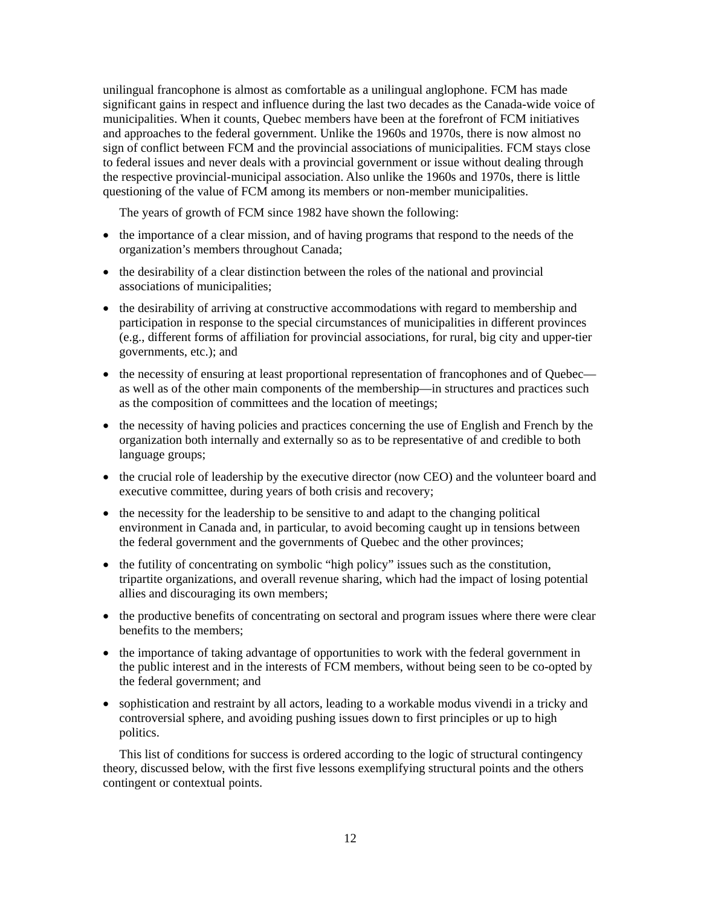unilingual francophone is almost as comfortable as a unilingual anglophone. FCM has made significant gains in respect and influence during the last two decades as the Canada-wide voice of municipalities. When it counts, Quebec members have been at the forefront of FCM initiatives and approaches to the federal government. Unlike the 1960s and 1970s, there is now almost no sign of conflict between FCM and the provincial associations of municipalities. FCM stays close to federal issues and never deals with a provincial government or issue without dealing through the respective provincial-municipal association. Also unlike the 1960s and 1970s, there is little questioning of the value of FCM among its members or non-member municipalities.

The years of growth of FCM since 1982 have shown the following:

- the importance of a clear mission, and of having programs that respond to the needs of the organization's members throughout Canada;
- the desirability of a clear distinction between the roles of the national and provincial associations of municipalities;
- the desirability of arriving at constructive accommodations with regard to membership and participation in response to the special circumstances of municipalities in different provinces (e.g., different forms of affiliation for provincial associations, for rural, big city and upper-tier governments, etc.); and
- the necessity of ensuring at least proportional representation of francophones and of Quebec as well as of the other main components of the membership—in structures and practices such as the composition of committees and the location of meetings;
- the necessity of having policies and practices concerning the use of English and French by the organization both internally and externally so as to be representative of and credible to both language groups;
- the crucial role of leadership by the executive director (now CEO) and the volunteer board and executive committee, during years of both crisis and recovery;
- the necessity for the leadership to be sensitive to and adapt to the changing political environment in Canada and, in particular, to avoid becoming caught up in tensions between the federal government and the governments of Quebec and the other provinces;
- the futility of concentrating on symbolic "high policy" issues such as the constitution, tripartite organizations, and overall revenue sharing, which had the impact of losing potential allies and discouraging its own members;
- the productive benefits of concentrating on sectoral and program issues where there were clear benefits to the members;
- the importance of taking advantage of opportunities to work with the federal government in the public interest and in the interests of FCM members, without being seen to be co-opted by the federal government; and
- sophistication and restraint by all actors, leading to a workable modus vivendi in a tricky and controversial sphere, and avoiding pushing issues down to first principles or up to high politics.

This list of conditions for success is ordered according to the logic of structural contingency theory, discussed below, with the first five lessons exemplifying structural points and the others contingent or contextual points.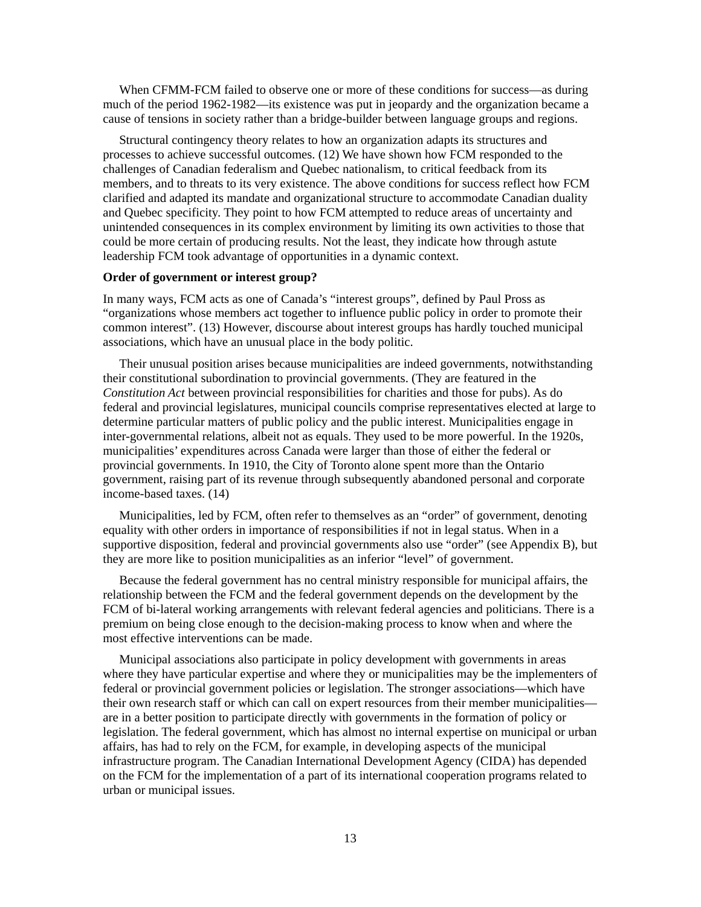When CFMM-FCM failed to observe one or more of these conditions for success—as during much of the period 1962-1982—its existence was put in jeopardy and the organization became a cause of tensions in society rather than a bridge-builder between language groups and regions.

Structural contingency theory relates to how an organization adapts its structures and processes to achieve successful outcomes. (12) We have shown how FCM responded to the challenges of Canadian federalism and Quebec nationalism, to critical feedback from its members, and to threats to its very existence. The above conditions for success reflect how FCM clarified and adapted its mandate and organizational structure to accommodate Canadian duality and Quebec specificity. They point to how FCM attempted to reduce areas of uncertainty and unintended consequences in its complex environment by limiting its own activities to those that could be more certain of producing results. Not the least, they indicate how through astute leadership FCM took advantage of opportunities in a dynamic context.

### **Order of government or interest group?**

In many ways, FCM acts as one of Canada's "interest groups", defined by Paul Pross as "organizations whose members act together to influence public policy in order to promote their common interest". (13) However, discourse about interest groups has hardly touched municipal associations, which have an unusual place in the body politic.

Their unusual position arises because municipalities are indeed governments, notwithstanding their constitutional subordination to provincial governments. (They are featured in the *Constitution Act* between provincial responsibilities for charities and those for pubs). As do federal and provincial legislatures, municipal councils comprise representatives elected at large to determine particular matters of public policy and the public interest. Municipalities engage in inter-governmental relations, albeit not as equals. They used to be more powerful. In the 1920s, municipalities' expenditures across Canada were larger than those of either the federal or provincial governments. In 1910, the City of Toronto alone spent more than the Ontario government, raising part of its revenue through subsequently abandoned personal and corporate income-based taxes. (14)

Municipalities, led by FCM, often refer to themselves as an "order" of government, denoting equality with other orders in importance of responsibilities if not in legal status. When in a supportive disposition, federal and provincial governments also use "order" (see Appendix B), but they are more like to position municipalities as an inferior "level" of government.

Because the federal government has no central ministry responsible for municipal affairs, the relationship between the FCM and the federal government depends on the development by the FCM of bi-lateral working arrangements with relevant federal agencies and politicians. There is a premium on being close enough to the decision-making process to know when and where the most effective interventions can be made.

Municipal associations also participate in policy development with governments in areas where they have particular expertise and where they or municipalities may be the implementers of federal or provincial government policies or legislation. The stronger associations—which have their own research staff or which can call on expert resources from their member municipalities are in a better position to participate directly with governments in the formation of policy or legislation. The federal government, which has almost no internal expertise on municipal or urban affairs, has had to rely on the FCM, for example, in developing aspects of the municipal infrastructure program. The Canadian International Development Agency (CIDA) has depended on the FCM for the implementation of a part of its international cooperation programs related to urban or municipal issues.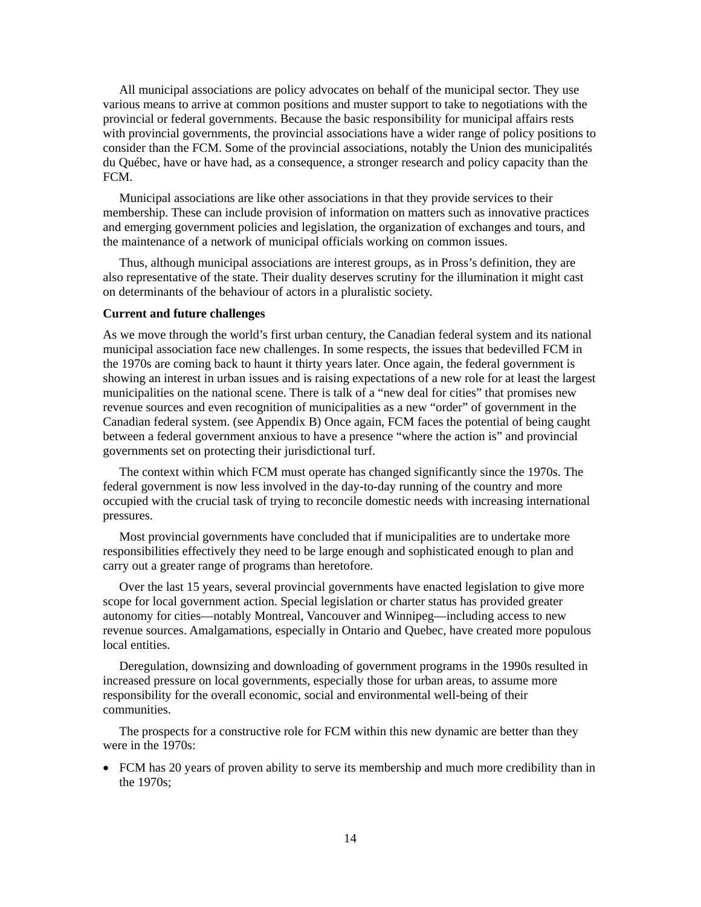All municipal associations are policy advocates on behalf of the municipal sector. They use various means to arrive at common positions and muster support to take to negotiations with the provincial or federal governments. Because the basic responsibility for municipal affairs rests with provincial governments, the provincial associations have a wider range of policy positions to consider than the FCM. Some of the provincial associations, notably the Union des municipalités du Québec, have or have had, as a consequence, a stronger research and policy capacity than the FCM.

Municipal associations are like other associations in that they provide services to their membership. These can include provision of information on matters such as innovative practices and emerging government policies and legislation, the organization of exchanges and tours, and the maintenance of a network of municipal officials working on common issues.

Thus, although municipal associations are interest groups, as in Pross's definition, they are also representative of the state. Their duality deserves scrutiny for the illumination it might cast on determinants of the behaviour of actors in a pluralistic society.

### **Current and future challenges**

As we move through the world's first urban century, the Canadian federal system and its national municipal association face new challenges. In some respects, the issues that bedevilled FCM in the 1970s are coming back to haunt it thirty years later. Once again, the federal government is showing an interest in urban issues and is raising expectations of a new role for at least the largest municipalities on the national scene. There is talk of a "new deal for cities" that promises new revenue sources and even recognition of municipalities as a new "order" of government in the Canadian federal system. (see Appendix B) Once again, FCM faces the potential of being caught between a federal government anxious to have a presence "where the action is" and provincial governments set on protecting their jurisdictional turf.

The context within which FCM must operate has changed significantly since the 1970s. The federal government is now less involved in the day-to-day running of the country and more occupied with the crucial task of trying to reconcile domestic needs with increasing international pressures.

Most provincial governments have concluded that if municipalities are to undertake more responsibilities effectively they need to be large enough and sophisticated enough to plan and carry out a greater range of programs than heretofore.

Over the last 15 years, several provincial governments have enacted legislation to give more scope for local government action. Special legislation or charter status has provided greater autonomy for cities—notably Montreal, Vancouver and Winnipeg—including access to new revenue sources. Amalgamations, especially in Ontario and Quebec, have created more populous local entities.

Deregulation, downsizing and downloading of government programs in the 1990s resulted in increased pressure on local governments, especially those for urban areas, to assume more responsibility for the overall economic, social and environmental well-being of their communities.

The prospects for a constructive role for FCM within this new dynamic are better than they were in the 1970s:

• FCM has 20 years of proven ability to serve its membership and much more credibility than in the 1970s;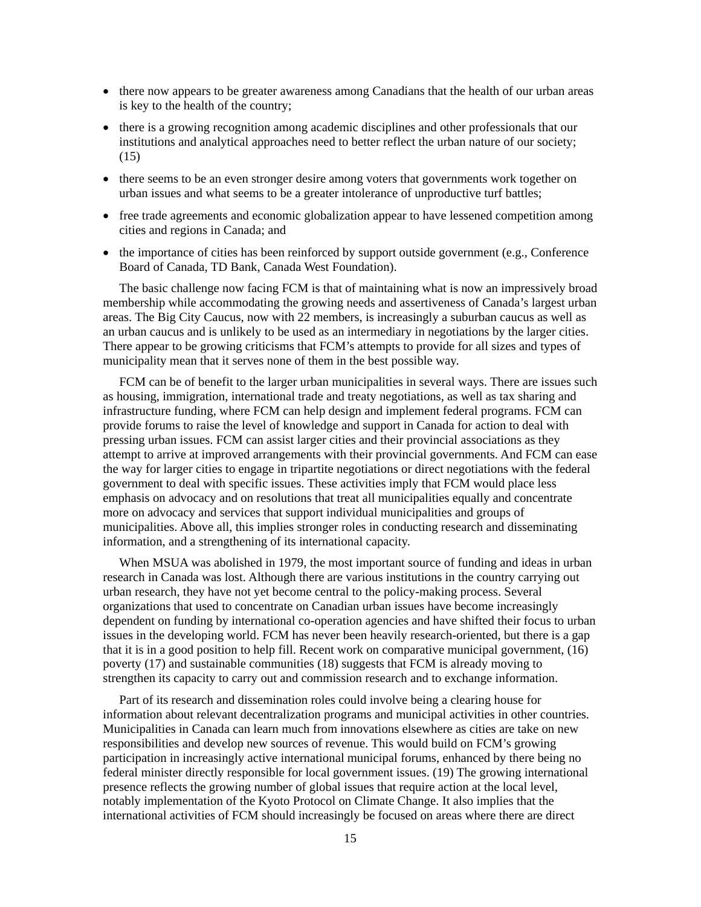- there now appears to be greater awareness among Canadians that the health of our urban areas is key to the health of the country;
- there is a growing recognition among academic disciplines and other professionals that our institutions and analytical approaches need to better reflect the urban nature of our society; (15)
- there seems to be an even stronger desire among voters that governments work together on urban issues and what seems to be a greater intolerance of unproductive turf battles;
- free trade agreements and economic globalization appear to have lessened competition among cities and regions in Canada; and
- the importance of cities has been reinforced by support outside government (e.g., Conference Board of Canada, TD Bank, Canada West Foundation).

The basic challenge now facing FCM is that of maintaining what is now an impressively broad membership while accommodating the growing needs and assertiveness of Canada's largest urban areas. The Big City Caucus, now with 22 members, is increasingly a suburban caucus as well as an urban caucus and is unlikely to be used as an intermediary in negotiations by the larger cities. There appear to be growing criticisms that FCM's attempts to provide for all sizes and types of municipality mean that it serves none of them in the best possible way.

FCM can be of benefit to the larger urban municipalities in several ways. There are issues such as housing, immigration, international trade and treaty negotiations, as well as tax sharing and infrastructure funding, where FCM can help design and implement federal programs. FCM can provide forums to raise the level of knowledge and support in Canada for action to deal with pressing urban issues. FCM can assist larger cities and their provincial associations as they attempt to arrive at improved arrangements with their provincial governments. And FCM can ease the way for larger cities to engage in tripartite negotiations or direct negotiations with the federal government to deal with specific issues. These activities imply that FCM would place less emphasis on advocacy and on resolutions that treat all municipalities equally and concentrate more on advocacy and services that support individual municipalities and groups of municipalities. Above all, this implies stronger roles in conducting research and disseminating information, and a strengthening of its international capacity.

When MSUA was abolished in 1979, the most important source of funding and ideas in urban research in Canada was lost. Although there are various institutions in the country carrying out urban research, they have not yet become central to the policy-making process. Several organizations that used to concentrate on Canadian urban issues have become increasingly dependent on funding by international co-operation agencies and have shifted their focus to urban issues in the developing world. FCM has never been heavily research-oriented, but there is a gap that it is in a good position to help fill. Recent work on comparative municipal government, (16) poverty (17) and sustainable communities (18) suggests that FCM is already moving to strengthen its capacity to carry out and commission research and to exchange information.

Part of its research and dissemination roles could involve being a clearing house for information about relevant decentralization programs and municipal activities in other countries. Municipalities in Canada can learn much from innovations elsewhere as cities are take on new responsibilities and develop new sources of revenue. This would build on FCM's growing participation in increasingly active international municipal forums, enhanced by there being no federal minister directly responsible for local government issues. (19) The growing international presence reflects the growing number of global issues that require action at the local level, notably implementation of the Kyoto Protocol on Climate Change. It also implies that the international activities of FCM should increasingly be focused on areas where there are direct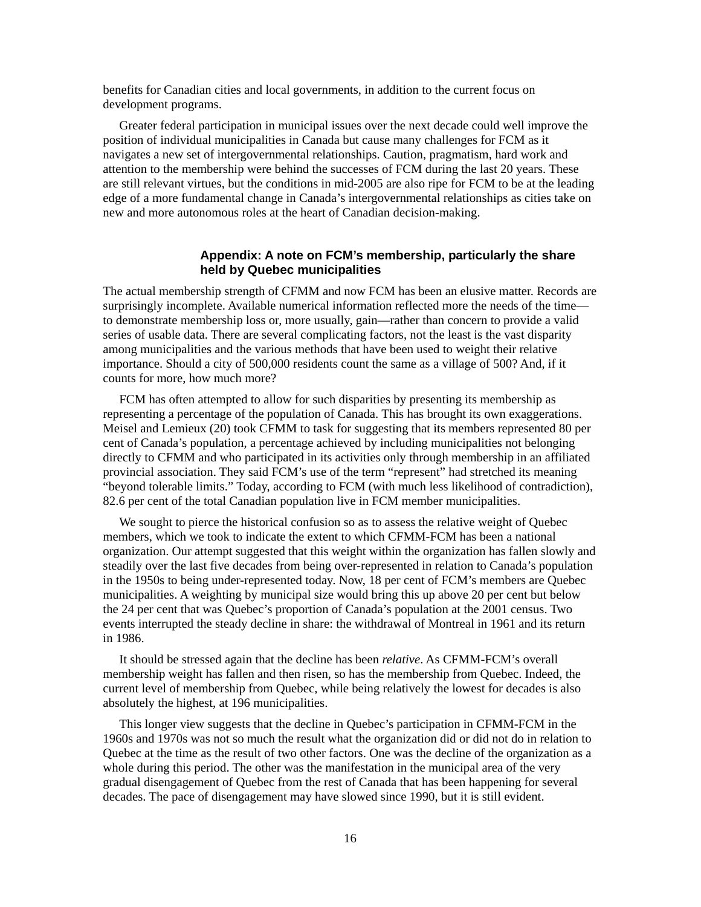benefits for Canadian cities and local governments, in addition to the current focus on development programs.

Greater federal participation in municipal issues over the next decade could well improve the position of individual municipalities in Canada but cause many challenges for FCM as it navigates a new set of intergovernmental relationships. Caution, pragmatism, hard work and attention to the membership were behind the successes of FCM during the last 20 years. These are still relevant virtues, but the conditions in mid-2005 are also ripe for FCM to be at the leading edge of a more fundamental change in Canada's intergovernmental relationships as cities take on new and more autonomous roles at the heart of Canadian decision-making.

## **Appendix: A note on FCM's membership, particularly the share held by Quebec municipalities**

The actual membership strength of CFMM and now FCM has been an elusive matter. Records are surprisingly incomplete. Available numerical information reflected more the needs of the time to demonstrate membership loss or, more usually, gain—rather than concern to provide a valid series of usable data. There are several complicating factors, not the least is the vast disparity among municipalities and the various methods that have been used to weight their relative importance. Should a city of 500,000 residents count the same as a village of 500? And, if it counts for more, how much more?

FCM has often attempted to allow for such disparities by presenting its membership as representing a percentage of the population of Canada. This has brought its own exaggerations. Meisel and Lemieux (20) took CFMM to task for suggesting that its members represented 80 per cent of Canada's population, a percentage achieved by including municipalities not belonging directly to CFMM and who participated in its activities only through membership in an affiliated provincial association. They said FCM's use of the term "represent" had stretched its meaning "beyond tolerable limits." Today, according to FCM (with much less likelihood of contradiction), 82.6 per cent of the total Canadian population live in FCM member municipalities.

We sought to pierce the historical confusion so as to assess the relative weight of Quebec members, which we took to indicate the extent to which CFMM-FCM has been a national organization. Our attempt suggested that this weight within the organization has fallen slowly and steadily over the last five decades from being over-represented in relation to Canada's population in the 1950s to being under-represented today. Now, 18 per cent of FCM's members are Quebec municipalities. A weighting by municipal size would bring this up above 20 per cent but below the 24 per cent that was Quebec's proportion of Canada's population at the 2001 census. Two events interrupted the steady decline in share: the withdrawal of Montreal in 1961 and its return in 1986.

It should be stressed again that the decline has been *relative*. As CFMM-FCM's overall membership weight has fallen and then risen, so has the membership from Quebec. Indeed, the current level of membership from Quebec, while being relatively the lowest for decades is also absolutely the highest, at 196 municipalities.

This longer view suggests that the decline in Quebec's participation in CFMM-FCM in the 1960s and 1970s was not so much the result what the organization did or did not do in relation to Quebec at the time as the result of two other factors. One was the decline of the organization as a whole during this period. The other was the manifestation in the municipal area of the very gradual disengagement of Quebec from the rest of Canada that has been happening for several decades. The pace of disengagement may have slowed since 1990, but it is still evident.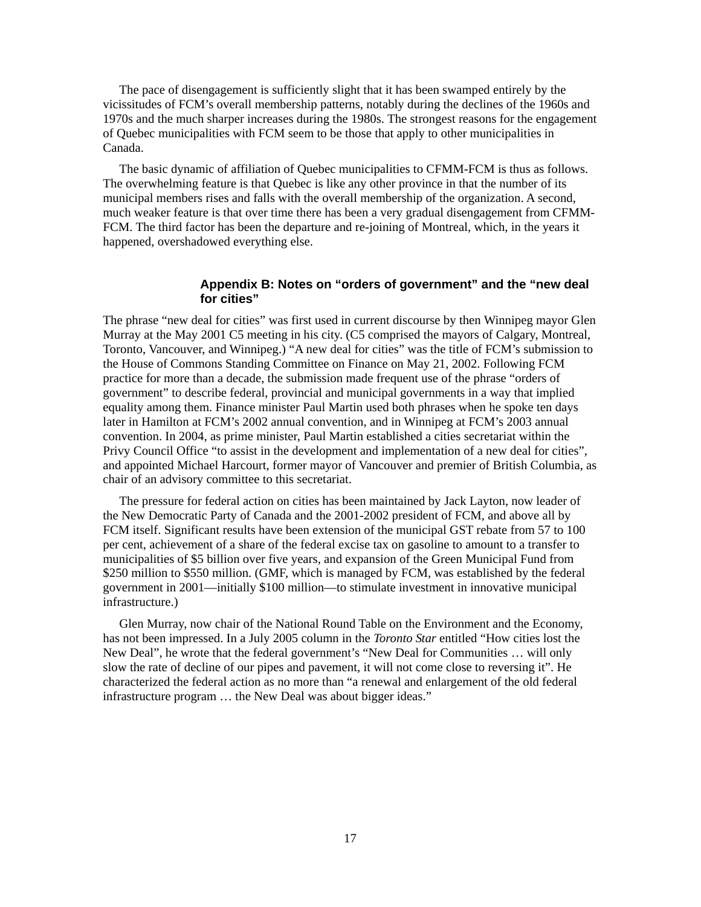The pace of disengagement is sufficiently slight that it has been swamped entirely by the vicissitudes of FCM's overall membership patterns, notably during the declines of the 1960s and 1970s and the much sharper increases during the 1980s. The strongest reasons for the engagement of Quebec municipalities with FCM seem to be those that apply to other municipalities in Canada.

The basic dynamic of affiliation of Quebec municipalities to CFMM-FCM is thus as follows. The overwhelming feature is that Quebec is like any other province in that the number of its municipal members rises and falls with the overall membership of the organization. A second, much weaker feature is that over time there has been a very gradual disengagement from CFMM-FCM. The third factor has been the departure and re-joining of Montreal, which, in the years it happened, overshadowed everything else.

## **Appendix B: Notes on "orders of government" and the "new deal for cities"**

The phrase "new deal for cities" was first used in current discourse by then Winnipeg mayor Glen Murray at the May 2001 C5 meeting in his city. (C5 comprised the mayors of Calgary, Montreal, Toronto, Vancouver, and Winnipeg.) "A new deal for cities" was the title of FCM's submission to the House of Commons Standing Committee on Finance on May 21, 2002. Following FCM practice for more than a decade, the submission made frequent use of the phrase "orders of government" to describe federal, provincial and municipal governments in a way that implied equality among them. Finance minister Paul Martin used both phrases when he spoke ten days later in Hamilton at FCM's 2002 annual convention, and in Winnipeg at FCM's 2003 annual convention. In 2004, as prime minister, Paul Martin established a cities secretariat within the Privy Council Office "to assist in the development and implementation of a new deal for cities", and appointed Michael Harcourt, former mayor of Vancouver and premier of British Columbia, as chair of an advisory committee to this secretariat.

The pressure for federal action on cities has been maintained by Jack Layton, now leader of the New Democratic Party of Canada and the 2001-2002 president of FCM, and above all by FCM itself. Significant results have been extension of the municipal GST rebate from 57 to 100 per cent, achievement of a share of the federal excise tax on gasoline to amount to a transfer to municipalities of \$5 billion over five years, and expansion of the Green Municipal Fund from \$250 million to \$550 million. (GMF, which is managed by FCM, was established by the federal government in 2001—initially \$100 million—to stimulate investment in innovative municipal infrastructure.)

Glen Murray, now chair of the National Round Table on the Environment and the Economy, has not been impressed. In a July 2005 column in the *Toronto Star* entitled "How cities lost the New Deal", he wrote that the federal government's "New Deal for Communities … will only slow the rate of decline of our pipes and pavement, it will not come close to reversing it". He characterized the federal action as no more than "a renewal and enlargement of the old federal infrastructure program … the New Deal was about bigger ideas."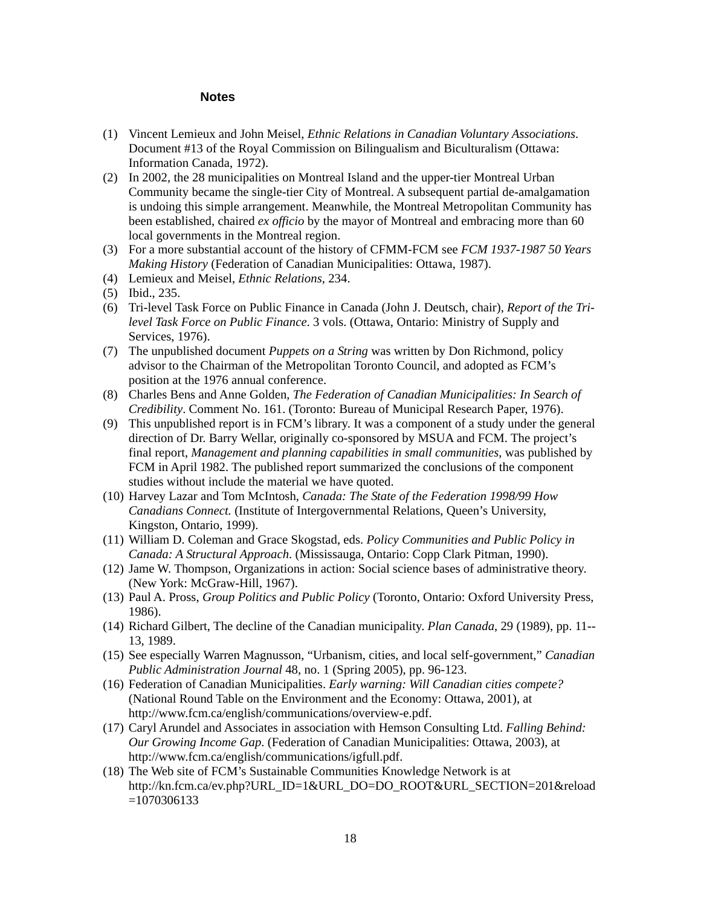### **Notes**

- (1) Vincent Lemieux and John Meisel, *Ethnic Relations in Canadian Voluntary Associations*. Document #13 of the Royal Commission on Bilingualism and Biculturalism (Ottawa: Information Canada, 1972).
- (2) In 2002, the 28 municipalities on Montreal Island and the upper-tier Montreal Urban Community became the single-tier City of Montreal. A subsequent partial de-amalgamation is undoing this simple arrangement. Meanwhile, the Montreal Metropolitan Community has been established, chaired *ex officio* by the mayor of Montreal and embracing more than 60 local governments in the Montreal region.
- (3) For a more substantial account of the history of CFMM-FCM see *FCM 1937-1987 50 Years Making History* (Federation of Canadian Municipalities: Ottawa, 1987).
- (4) Lemieux and Meisel, *Ethnic Relations*, 234.
- (5) Ibid., 235.
- (6) Tri-level Task Force on Public Finance in Canada (John J. Deutsch, chair), *Report of the Trilevel Task Force on Public Finance*. 3 vols. (Ottawa, Ontario: Ministry of Supply and Services, 1976).
- (7) The unpublished document *Puppets on a String* was written by Don Richmond, policy advisor to the Chairman of the Metropolitan Toronto Council, and adopted as FCM's position at the 1976 annual conference.
- (8) Charles Bens and Anne Golden, *The Federation of Canadian Municipalities: In Search of Credibility*. Comment No. 161. (Toronto: Bureau of Municipal Research Paper, 1976).
- (9) This unpublished report is in FCM's library. It was a component of a study under the general direction of Dr. Barry Wellar, originally co-sponsored by MSUA and FCM. The project's final report, *Management and planning capabilities in small communities*, was published by FCM in April 1982. The published report summarized the conclusions of the component studies without include the material we have quoted.
- (10) Harvey Lazar and Tom McIntosh, *Canada: The State of the Federation 1998/99 How Canadians Connect.* (Institute of Intergovernmental Relations, Queen's University, Kingston, Ontario, 1999).
- (11) William D. Coleman and Grace Skogstad, eds. *Policy Communities and Public Policy in Canada: A Structural Approach*. (Mississauga, Ontario: Copp Clark Pitman, 1990).
- (12) Jame W. Thompson, Organizations in action: Social science bases of administrative theory. (New York: McGraw-Hill, 1967).
- (13) Paul A. Pross, *Group Politics and Public Policy* (Toronto, Ontario: Oxford University Press, 1986).
- (14) Richard Gilbert, The decline of the Canadian municipality. *Plan Canada*, 29 (1989), pp. 11-- 13, 1989.
- (15) See especially Warren Magnusson, "Urbanism, cities, and local self-government," *Canadian Public Administration Journal* 48, no. 1 (Spring 2005), pp. 96-123.
- (16) Federation of Canadian Municipalities. *Early warning: Will Canadian cities compete?* (National Round Table on the Environment and the Economy: Ottawa, 2001), at http://www.fcm.ca/english/communications/overview-e.pdf.
- (17) Caryl Arundel and Associates in association with Hemson Consulting Ltd. *Falling Behind: Our Growing Income Gap*. (Federation of Canadian Municipalities: Ottawa, 2003), at http://www.fcm.ca/english/communications/igfull.pdf.
- (18) The Web site of FCM's Sustainable Communities Knowledge Network is at http://kn.fcm.ca/ev.php?URL\_ID=1&URL\_DO=DO\_ROOT&URL\_SECTION=201&reload =1070306133